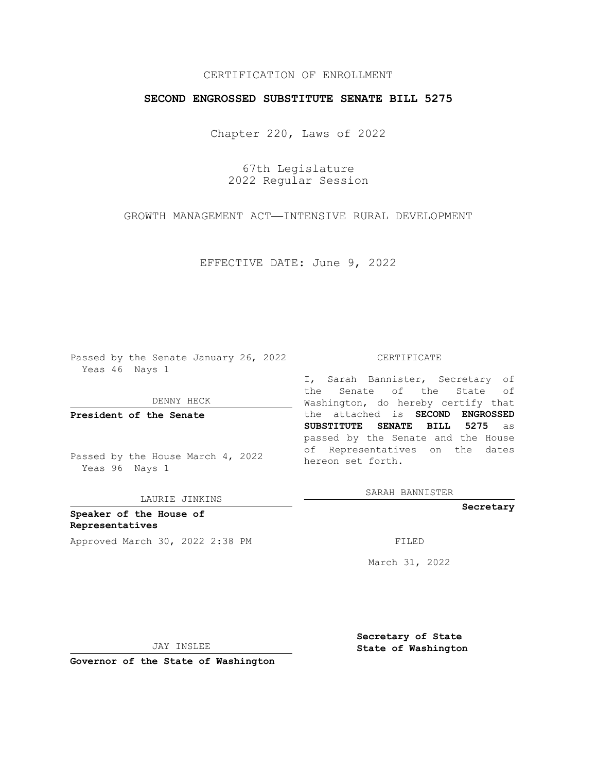## CERTIFICATION OF ENROLLMENT

## **SECOND ENGROSSED SUBSTITUTE SENATE BILL 5275**

Chapter 220, Laws of 2022

67th Legislature 2022 Regular Session

GROWTH MANAGEMENT ACT—INTENSIVE RURAL DEVELOPMENT

EFFECTIVE DATE: June 9, 2022

Passed by the Senate January 26, 2022 Yeas 46 Nays 1

DENNY HECK

**President of the Senate**

Passed by the House March 4, 2022 Yeas 96 Nays 1

LAURIE JINKINS

**Speaker of the House of Representatives** Approved March 30, 2022 2:38 PM FILED

## CERTIFICATE

I, Sarah Bannister, Secretary of the Senate of the State of Washington, do hereby certify that the attached is **SECOND ENGROSSED SUBSTITUTE SENATE BILL 5275** as passed by the Senate and the House of Representatives on the dates hereon set forth.

SARAH BANNISTER

**Secretary**

March 31, 2022

JAY INSLEE

**Secretary of State State of Washington**

**Governor of the State of Washington**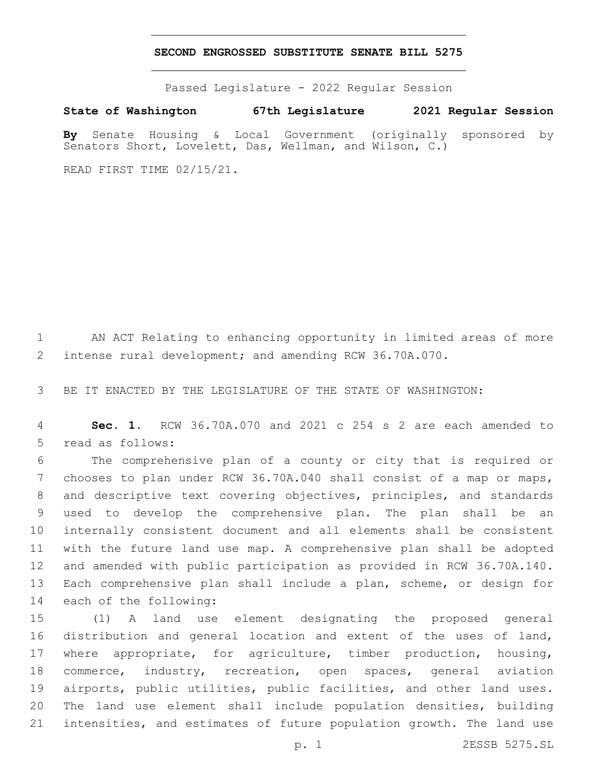## **SECOND ENGROSSED SUBSTITUTE SENATE BILL 5275**

Passed Legislature - 2022 Regular Session

**State of Washington 67th Legislature 2021 Regular Session**

**By** Senate Housing & Local Government (originally sponsored by Senators Short, Lovelett, Das, Wellman, and Wilson, C.)

READ FIRST TIME 02/15/21.

 AN ACT Relating to enhancing opportunity in limited areas of more intense rural development; and amending RCW 36.70A.070.

BE IT ENACTED BY THE LEGISLATURE OF THE STATE OF WASHINGTON:

 **Sec. 1.** RCW 36.70A.070 and 2021 c 254 s 2 are each amended to 5 read as follows:

 The comprehensive plan of a county or city that is required or chooses to plan under RCW 36.70A.040 shall consist of a map or maps, and descriptive text covering objectives, principles, and standards used to develop the comprehensive plan. The plan shall be an internally consistent document and all elements shall be consistent with the future land use map. A comprehensive plan shall be adopted and amended with public participation as provided in RCW 36.70A.140. Each comprehensive plan shall include a plan, scheme, or design for 14 each of the following:

 (1) A land use element designating the proposed general distribution and general location and extent of the uses of land, where appropriate, for agriculture, timber production, housing, commerce, industry, recreation, open spaces, general aviation airports, public utilities, public facilities, and other land uses. The land use element shall include population densities, building intensities, and estimates of future population growth. The land use

p. 1 2ESSB 5275.SL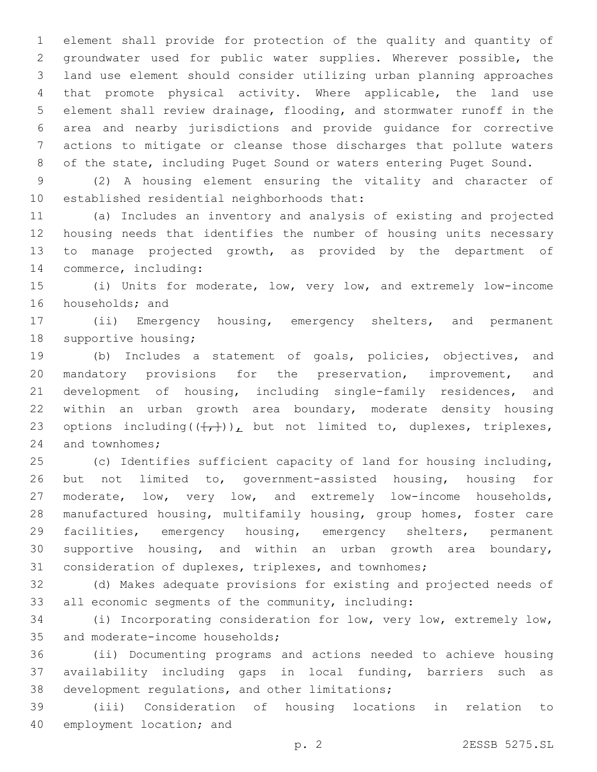element shall provide for protection of the quality and quantity of groundwater used for public water supplies. Wherever possible, the land use element should consider utilizing urban planning approaches that promote physical activity. Where applicable, the land use element shall review drainage, flooding, and stormwater runoff in the area and nearby jurisdictions and provide guidance for corrective actions to mitigate or cleanse those discharges that pollute waters of the state, including Puget Sound or waters entering Puget Sound.

 (2) A housing element ensuring the vitality and character of 10 established residential neighborhoods that:

 (a) Includes an inventory and analysis of existing and projected housing needs that identifies the number of housing units necessary to manage projected growth, as provided by the department of 14 commerce, including:

 (i) Units for moderate, low, very low, and extremely low-income 16 households; and

 (ii) Emergency housing, emergency shelters, and permanent 18 supportive housing;

 (b) Includes a statement of goals, policies, objectives, and mandatory provisions for the preservation, improvement, and development of housing, including single-family residences, and within an urban growth area boundary, moderate density housing 23 options including( $(\frac{1}{t},\frac{1}{t})$ ), but not limited to, duplexes, triplexes, 24 and townhomes;

 (c) Identifies sufficient capacity of land for housing including, but not limited to, government-assisted housing, housing for moderate, low, very low, and extremely low-income households, manufactured housing, multifamily housing, group homes, foster care facilities, emergency housing, emergency shelters, permanent supportive housing, and within an urban growth area boundary, consideration of duplexes, triplexes, and townhomes;

 (d) Makes adequate provisions for existing and projected needs of all economic segments of the community, including:

 (i) Incorporating consideration for low, very low, extremely low, 35 and moderate-income households;

 (ii) Documenting programs and actions needed to achieve housing availability including gaps in local funding, barriers such as 38 development regulations, and other limitations;

 (iii) Consideration of housing locations in relation to 40 employment location; and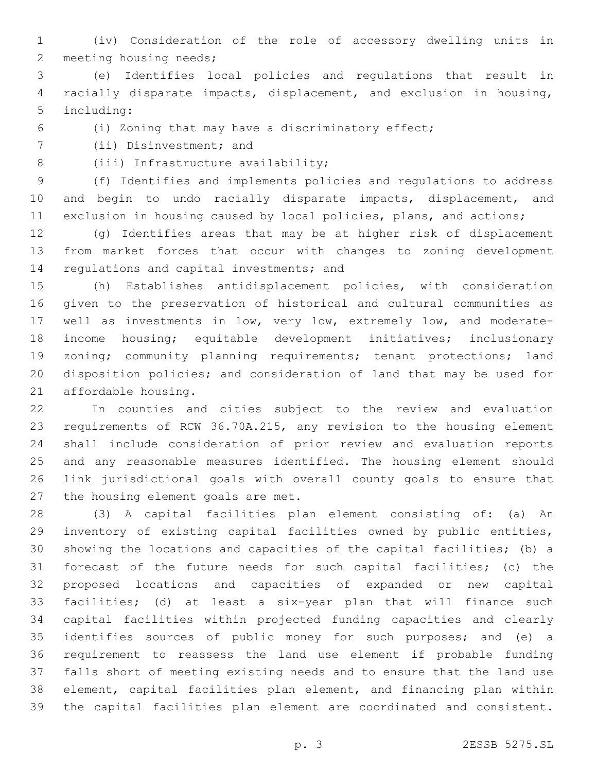(iv) Consideration of the role of accessory dwelling units in 2 meeting housing needs;

 (e) Identifies local policies and regulations that result in racially disparate impacts, displacement, and exclusion in housing, 5 including:

(i) Zoning that may have a discriminatory effect;

7 (ii) Disinvestment; and

8 (iii) Infrastructure availability;

 (f) Identifies and implements policies and regulations to address and begin to undo racially disparate impacts, displacement, and exclusion in housing caused by local policies, plans, and actions;

 (g) Identifies areas that may be at higher risk of displacement from market forces that occur with changes to zoning development 14 regulations and capital investments; and

 (h) Establishes antidisplacement policies, with consideration given to the preservation of historical and cultural communities as well as investments in low, very low, extremely low, and moderate- income housing; equitable development initiatives; inclusionary 19 zoning; community planning requirements; tenant protections; land disposition policies; and consideration of land that may be used for 21 affordable housing.

 In counties and cities subject to the review and evaluation requirements of RCW 36.70A.215, any revision to the housing element shall include consideration of prior review and evaluation reports and any reasonable measures identified. The housing element should link jurisdictional goals with overall county goals to ensure that 27 the housing element goals are met.

 (3) A capital facilities plan element consisting of: (a) An inventory of existing capital facilities owned by public entities, showing the locations and capacities of the capital facilities; (b) a forecast of the future needs for such capital facilities; (c) the proposed locations and capacities of expanded or new capital facilities; (d) at least a six-year plan that will finance such capital facilities within projected funding capacities and clearly identifies sources of public money for such purposes; and (e) a requirement to reassess the land use element if probable funding falls short of meeting existing needs and to ensure that the land use element, capital facilities plan element, and financing plan within the capital facilities plan element are coordinated and consistent.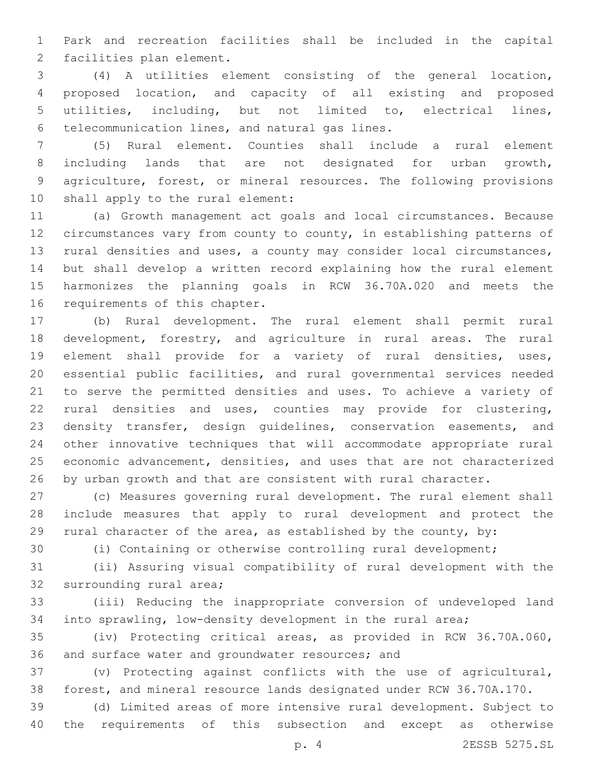Park and recreation facilities shall be included in the capital 2 facilities plan element.

 (4) A utilities element consisting of the general location, proposed location, and capacity of all existing and proposed utilities, including, but not limited to, electrical lines, 6 telecommunication lines, and natural gas lines.

 (5) Rural element. Counties shall include a rural element including lands that are not designated for urban growth, agriculture, forest, or mineral resources. The following provisions 10 shall apply to the rural element:

 (a) Growth management act goals and local circumstances. Because circumstances vary from county to county, in establishing patterns of rural densities and uses, a county may consider local circumstances, but shall develop a written record explaining how the rural element harmonizes the planning goals in RCW 36.70A.020 and meets the 16 requirements of this chapter.

 (b) Rural development. The rural element shall permit rural development, forestry, and agriculture in rural areas. The rural element shall provide for a variety of rural densities, uses, essential public facilities, and rural governmental services needed to serve the permitted densities and uses. To achieve a variety of rural densities and uses, counties may provide for clustering, 23 density transfer, design guidelines, conservation easements, and other innovative techniques that will accommodate appropriate rural economic advancement, densities, and uses that are not characterized by urban growth and that are consistent with rural character.

 (c) Measures governing rural development. The rural element shall include measures that apply to rural development and protect the rural character of the area, as established by the county, by:

(i) Containing or otherwise controlling rural development;

 (ii) Assuring visual compatibility of rural development with the 32 surrounding rural area;

 (iii) Reducing the inappropriate conversion of undeveloped land into sprawling, low-density development in the rural area;

 (iv) Protecting critical areas, as provided in RCW 36.70A.060, 36 and surface water and groundwater resources; and

 (v) Protecting against conflicts with the use of agricultural, forest, and mineral resource lands designated under RCW 36.70A.170.

 (d) Limited areas of more intensive rural development. Subject to the requirements of this subsection and except as otherwise

p. 4 2ESSB 5275.SL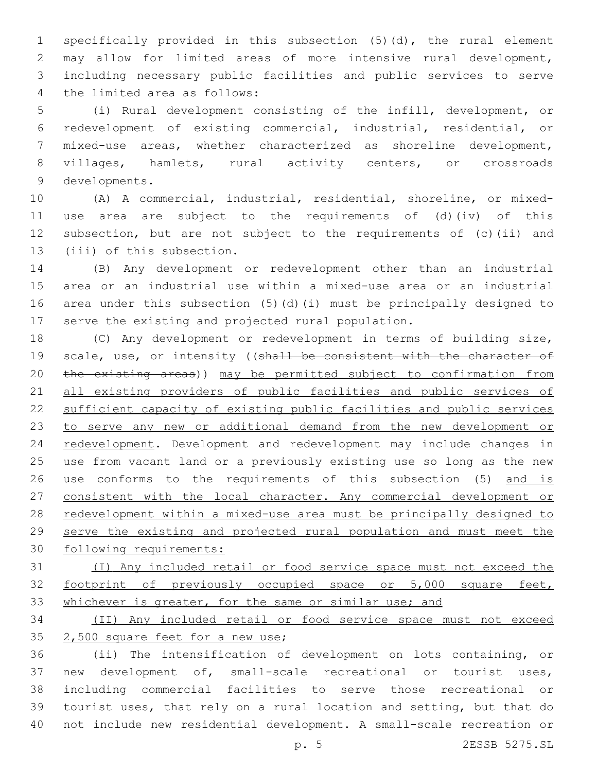specifically provided in this subsection (5)(d), the rural element may allow for limited areas of more intensive rural development, including necessary public facilities and public services to serve 4 the limited area as follows:

 (i) Rural development consisting of the infill, development, or redevelopment of existing commercial, industrial, residential, or mixed-use areas, whether characterized as shoreline development, villages, hamlets, rural activity centers, or crossroads 9 developments.

 (A) A commercial, industrial, residential, shoreline, or mixed- use area are subject to the requirements of (d)(iv) of this subsection, but are not subject to the requirements of (c)(ii) and 13 (iii) of this subsection.

 (B) Any development or redevelopment other than an industrial area or an industrial use within a mixed-use area or an industrial area under this subsection (5)(d)(i) must be principally designed to serve the existing and projected rural population.

 (C) Any development or redevelopment in terms of building size, 19 scale, use, or intensity ((shall be consistent with the character of the existing areas)) may be permitted subject to confirmation from all existing providers of public facilities and public services of sufficient capacity of existing public facilities and public services to serve any new or additional demand from the new development or 24 redevelopment. Development and redevelopment may include changes in use from vacant land or a previously existing use so long as the new use conforms to the requirements of this subsection (5) and is consistent with the local character. Any commercial development or redevelopment within a mixed-use area must be principally designed to serve the existing and projected rural population and must meet the following requirements:

 (I) Any included retail or food service space must not exceed the footprint of previously occupied space or 5,000 square feet, 33 whichever is greater, for the same or similar use; and

 (II) Any included retail or food service space must not exceed 35 2,500 square feet for a new use;

 (ii) The intensification of development on lots containing, or new development of, small-scale recreational or tourist uses, including commercial facilities to serve those recreational or tourist uses, that rely on a rural location and setting, but that do not include new residential development. A small-scale recreation or

p. 5 2ESSB 5275.SL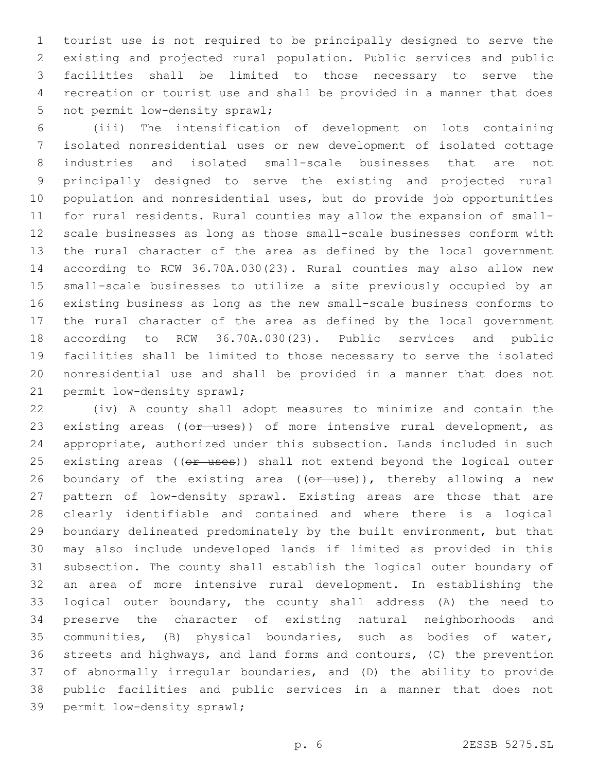tourist use is not required to be principally designed to serve the existing and projected rural population. Public services and public facilities shall be limited to those necessary to serve the recreation or tourist use and shall be provided in a manner that does 5 not permit low-density sprawl;

 (iii) The intensification of development on lots containing isolated nonresidential uses or new development of isolated cottage industries and isolated small-scale businesses that are not principally designed to serve the existing and projected rural population and nonresidential uses, but do provide job opportunities for rural residents. Rural counties may allow the expansion of small- scale businesses as long as those small-scale businesses conform with the rural character of the area as defined by the local government according to RCW 36.70A.030(23). Rural counties may also allow new small-scale businesses to utilize a site previously occupied by an existing business as long as the new small-scale business conforms to the rural character of the area as defined by the local government according to RCW 36.70A.030(23). Public services and public facilities shall be limited to those necessary to serve the isolated nonresidential use and shall be provided in a manner that does not 21 permit low-density sprawl;

 (iv) A county shall adopt measures to minimize and contain the 23 existing areas ((or uses)) of more intensive rural development, as appropriate, authorized under this subsection. Lands included in such 25 existing areas ((or uses)) shall not extend beyond the logical outer 26 boundary of the existing area ((or use)), thereby allowing a new pattern of low-density sprawl. Existing areas are those that are clearly identifiable and contained and where there is a logical boundary delineated predominately by the built environment, but that may also include undeveloped lands if limited as provided in this subsection. The county shall establish the logical outer boundary of an area of more intensive rural development. In establishing the logical outer boundary, the county shall address (A) the need to preserve the character of existing natural neighborhoods and communities, (B) physical boundaries, such as bodies of water, streets and highways, and land forms and contours, (C) the prevention of abnormally irregular boundaries, and (D) the ability to provide public facilities and public services in a manner that does not 39 permit low-density sprawl;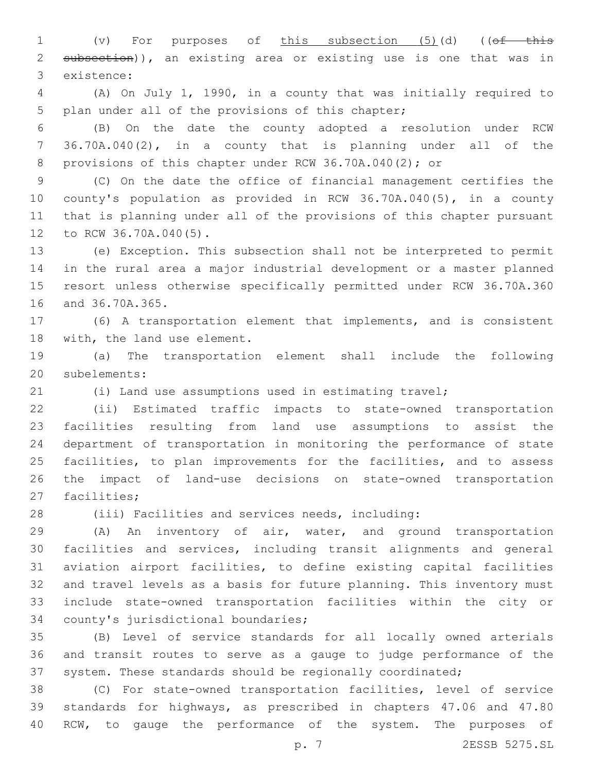1 (v) For purposes of this subsection (5)(d) ((of this 2 subsection)), an existing area or existing use is one that was in existence:3

 (A) On July 1, 1990, in a county that was initially required to 5 plan under all of the provisions of this chapter;

 (B) On the date the county adopted a resolution under RCW 36.70A.040(2), in a county that is planning under all of the 8 provisions of this chapter under RCW 36.70A.040(2); or

 (C) On the date the office of financial management certifies the county's population as provided in RCW 36.70A.040(5), in a county that is planning under all of the provisions of this chapter pursuant 12 to RCW 36.70A.040(5).

 (e) Exception. This subsection shall not be interpreted to permit in the rural area a major industrial development or a master planned resort unless otherwise specifically permitted under RCW 36.70A.360 16 and 36.70A.365.

 (6) A transportation element that implements, and is consistent 18 with, the land use element.

 (a) The transportation element shall include the following 20 subelements:

(i) Land use assumptions used in estimating travel;

 (ii) Estimated traffic impacts to state-owned transportation facilities resulting from land use assumptions to assist the department of transportation in monitoring the performance of state facilities, to plan improvements for the facilities, and to assess the impact of land-use decisions on state-owned transportation 27 facilities;

(iii) Facilities and services needs, including:

 (A) An inventory of air, water, and ground transportation facilities and services, including transit alignments and general aviation airport facilities, to define existing capital facilities and travel levels as a basis for future planning. This inventory must include state-owned transportation facilities within the city or 34 county's jurisdictional boundaries;

 (B) Level of service standards for all locally owned arterials and transit routes to serve as a gauge to judge performance of the system. These standards should be regionally coordinated;

 (C) For state-owned transportation facilities, level of service standards for highways, as prescribed in chapters 47.06 and 47.80 40 RCW, to gauge the performance of the system. The purposes of

p. 7 2ESSB 5275.SL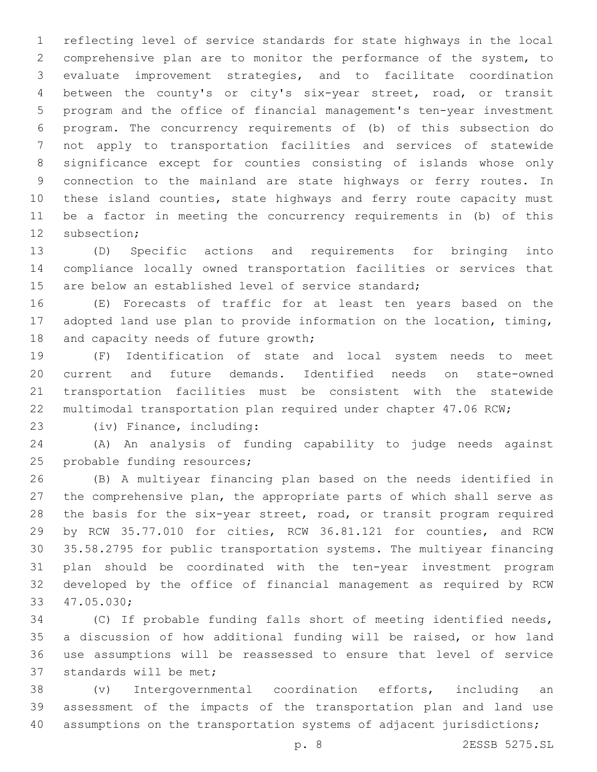reflecting level of service standards for state highways in the local comprehensive plan are to monitor the performance of the system, to evaluate improvement strategies, and to facilitate coordination between the county's or city's six-year street, road, or transit program and the office of financial management's ten-year investment program. The concurrency requirements of (b) of this subsection do not apply to transportation facilities and services of statewide significance except for counties consisting of islands whose only connection to the mainland are state highways or ferry routes. In these island counties, state highways and ferry route capacity must be a factor in meeting the concurrency requirements in (b) of this 12 subsection:

 (D) Specific actions and requirements for bringing into compliance locally owned transportation facilities or services that 15 are below an established level of service standard:

 (E) Forecasts of traffic for at least ten years based on the adopted land use plan to provide information on the location, timing, 18 and capacity needs of future growth;

 (F) Identification of state and local system needs to meet current and future demands. Identified needs on state-owned transportation facilities must be consistent with the statewide multimodal transportation plan required under chapter 47.06 RCW;

(iv) Finance, including:23

 (A) An analysis of funding capability to judge needs against 25 probable funding resources;

 (B) A multiyear financing plan based on the needs identified in the comprehensive plan, the appropriate parts of which shall serve as the basis for the six-year street, road, or transit program required by RCW 35.77.010 for cities, RCW 36.81.121 for counties, and RCW 35.58.2795 for public transportation systems. The multiyear financing plan should be coordinated with the ten-year investment program developed by the office of financial management as required by RCW 33 47.05.030;

 (C) If probable funding falls short of meeting identified needs, a discussion of how additional funding will be raised, or how land use assumptions will be reassessed to ensure that level of service 37 standards will be met;

 (v) Intergovernmental coordination efforts, including an assessment of the impacts of the transportation plan and land use assumptions on the transportation systems of adjacent jurisdictions;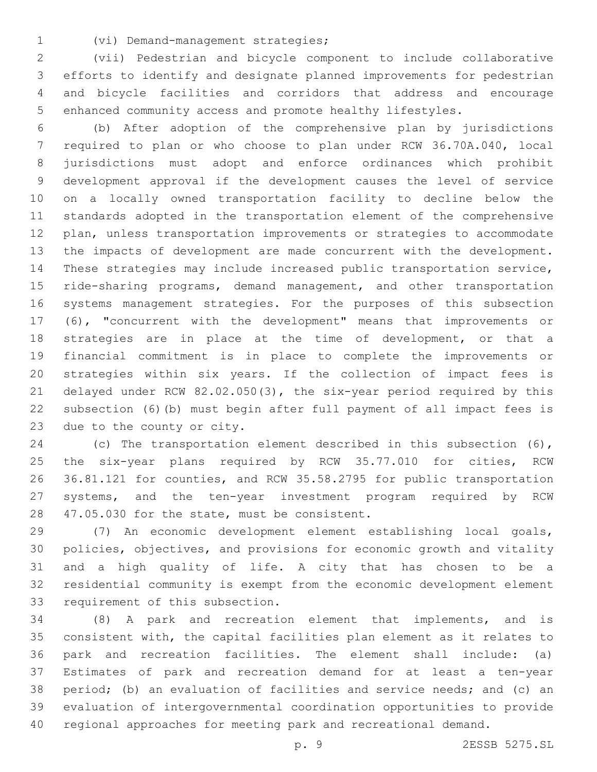- 
- (vi) Demand-management strategies;1

 (vii) Pedestrian and bicycle component to include collaborative efforts to identify and designate planned improvements for pedestrian and bicycle facilities and corridors that address and encourage enhanced community access and promote healthy lifestyles.

 (b) After adoption of the comprehensive plan by jurisdictions required to plan or who choose to plan under RCW 36.70A.040, local jurisdictions must adopt and enforce ordinances which prohibit development approval if the development causes the level of service on a locally owned transportation facility to decline below the standards adopted in the transportation element of the comprehensive plan, unless transportation improvements or strategies to accommodate the impacts of development are made concurrent with the development. These strategies may include increased public transportation service, 15 ride-sharing programs, demand management, and other transportation systems management strategies. For the purposes of this subsection (6), "concurrent with the development" means that improvements or strategies are in place at the time of development, or that a financial commitment is in place to complete the improvements or strategies within six years. If the collection of impact fees is delayed under RCW 82.02.050(3), the six-year period required by this subsection (6)(b) must begin after full payment of all impact fees is 23 due to the county or city.

 (c) The transportation element described in this subsection (6), the six-year plans required by RCW 35.77.010 for cities, RCW 36.81.121 for counties, and RCW 35.58.2795 for public transportation systems, and the ten-year investment program required by RCW 28 47.05.030 for the state, must be consistent.

 (7) An economic development element establishing local goals, policies, objectives, and provisions for economic growth and vitality and a high quality of life. A city that has chosen to be a residential community is exempt from the economic development element 33 requirement of this subsection.

 (8) A park and recreation element that implements, and is consistent with, the capital facilities plan element as it relates to park and recreation facilities. The element shall include: (a) Estimates of park and recreation demand for at least a ten-year period; (b) an evaluation of facilities and service needs; and (c) an evaluation of intergovernmental coordination opportunities to provide regional approaches for meeting park and recreational demand.